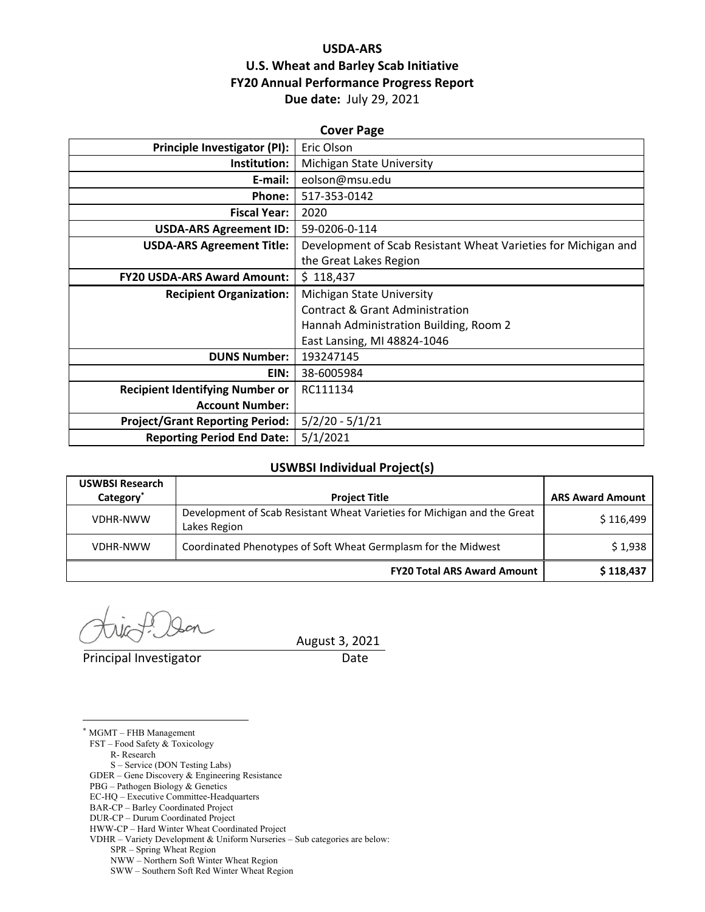# **USDA‐ARS U.S. Wheat and Barley Scab Initiative FY20 Annual Performance Progress Report Due date:** July 29, 2021

| <b>Cover Page</b>                      |                                                                |  |  |  |  |
|----------------------------------------|----------------------------------------------------------------|--|--|--|--|
| <b>Principle Investigator (PI):</b>    | Eric Olson                                                     |  |  |  |  |
| Institution:                           | <b>Michigan State University</b>                               |  |  |  |  |
| E-mail:                                | eolson@msu.edu                                                 |  |  |  |  |
| Phone:                                 | 517-353-0142                                                   |  |  |  |  |
| <b>Fiscal Year:</b>                    | 2020                                                           |  |  |  |  |
| <b>USDA-ARS Agreement ID:</b>          | 59-0206-0-114                                                  |  |  |  |  |
| <b>USDA-ARS Agreement Title:</b>       | Development of Scab Resistant Wheat Varieties for Michigan and |  |  |  |  |
|                                        | the Great Lakes Region                                         |  |  |  |  |
| <b>FY20 USDA-ARS Award Amount:</b>     | \$118,437                                                      |  |  |  |  |
| <b>Recipient Organization:</b>         | Michigan State University                                      |  |  |  |  |
|                                        | Contract & Grant Administration                                |  |  |  |  |
|                                        | Hannah Administration Building, Room 2                         |  |  |  |  |
|                                        | East Lansing, MI 48824-1046                                    |  |  |  |  |
| <b>DUNS Number:</b>                    | 193247145                                                      |  |  |  |  |
| EIN:                                   | 38-6005984                                                     |  |  |  |  |
| <b>Recipient Identifying Number or</b> | RC111134                                                       |  |  |  |  |
| <b>Account Number:</b>                 |                                                                |  |  |  |  |
| <b>Project/Grant Reporting Period:</b> | $5/2/20 - 5/1/21$                                              |  |  |  |  |
| <b>Reporting Period End Date:</b>      | 5/1/2021                                                       |  |  |  |  |

# **USWBSI Individual Project(s)**

| <b>USWBSI Research</b><br>Category <sup>*</sup> | <b>Project Title</b>                                                                     | <b>ARS Award Amount</b> |
|-------------------------------------------------|------------------------------------------------------------------------------------------|-------------------------|
| <b>VDHR-NWW</b>                                 | Development of Scab Resistant Wheat Varieties for Michigan and the Great<br>Lakes Region | \$116,499               |
| <b>VDHR-NWW</b>                                 | Coordinated Phenotypes of Soft Wheat Germplasm for the Midwest                           | \$1,938                 |
|                                                 | <b>FY20 Total ARS Award Amount</b>                                                       | \$118,437               |

Principal Investigator **Date** 

 $\overline{a}$ 

August 3, 2021

\* MGMT – FHB Management FST – Food Safety & Toxicology R- Research S – Service (DON Testing Labs) GDER – Gene Discovery & Engineering Resistance PBG – Pathogen Biology & Genetics EC-HQ – Executive Committee-Headquarters BAR-CP – Barley Coordinated Project DUR-CP – Durum Coordinated Project HWW-CP – Hard Winter Wheat Coordinated Project VDHR – Variety Development & Uniform Nurseries – Sub categories are below: SPR – Spring Wheat Region NWW – Northern Soft Winter Wheat Region SWW – Southern Soft Red Winter Wheat Region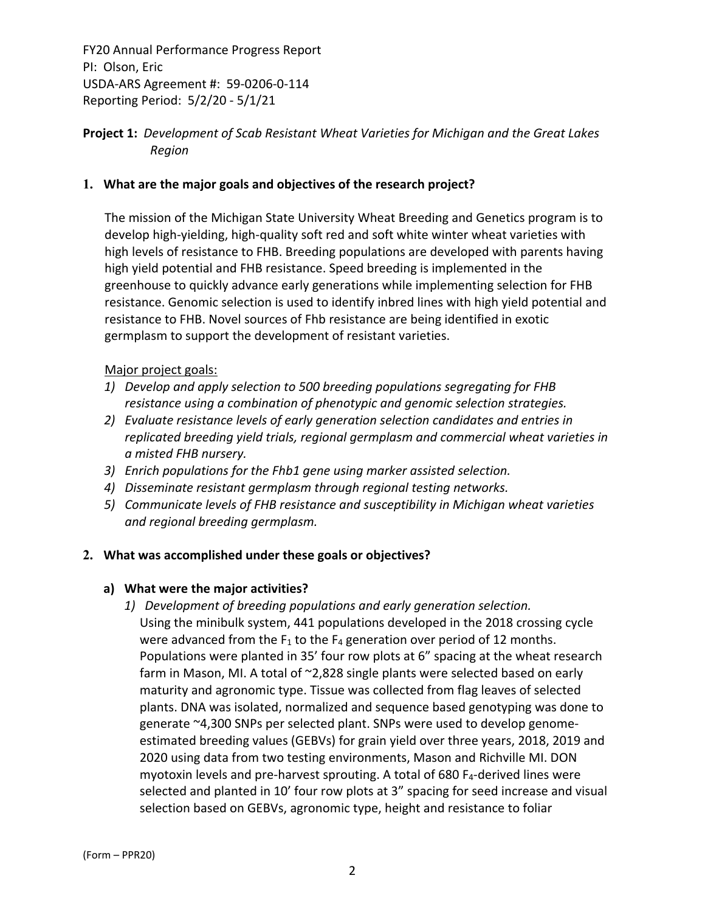**Project 1:** *Development of Scab Resistant Wheat Varieties for Michigan and the Great Lakes Region*

# **1. What are the major goals and objectives of the research project?**

The mission of the Michigan State University Wheat Breeding and Genetics program is to develop high‐yielding, high‐quality soft red and soft white winter wheat varieties with high levels of resistance to FHB. Breeding populations are developed with parents having high yield potential and FHB resistance. Speed breeding is implemented in the greenhouse to quickly advance early generations while implementing selection for FHB resistance. Genomic selection is used to identify inbred lines with high yield potential and resistance to FHB. Novel sources of Fhb resistance are being identified in exotic germplasm to support the development of resistant varieties.

#### Major project goals:

- *1) Develop and apply selection to 500 breeding populations segregating for FHB resistance using a combination of phenotypic and genomic selection strategies.*
- *2) Evaluate resistance levels of early generation selection candidates and entries in replicated breeding yield trials, regional germplasm and commercial wheat varieties in a misted FHB nursery.*
- *3) Enrich populations for the Fhb1 gene using marker assisted selection.*
- *4) Disseminate resistant germplasm through regional testing networks.*
- *5) Communicate levels of FHB resistance and susceptibility in Michigan wheat varieties and regional breeding germplasm.*

#### **2. What was accomplished under these goals or objectives?**

#### **a) What were the major activities?**

*1) Development of breeding populations and early generation selection.*  Using the minibulk system, 441 populations developed in the 2018 crossing cycle were advanced from the  $F_1$  to the  $F_4$  generation over period of 12 months. Populations were planted in 35' four row plots at 6" spacing at the wheat research farm in Mason, MI. A total of ~2,828 single plants were selected based on early maturity and agronomic type. Tissue was collected from flag leaves of selected plants. DNA was isolated, normalized and sequence based genotyping was done to generate ~4,300 SNPs per selected plant. SNPs were used to develop genome‐ estimated breeding values (GEBVs) for grain yield over three years, 2018, 2019 and 2020 using data from two testing environments, Mason and Richville MI. DON myotoxin levels and pre-harvest sprouting. A total of  $680 F_4$ -derived lines were selected and planted in 10' four row plots at 3" spacing for seed increase and visual selection based on GEBVs, agronomic type, height and resistance to foliar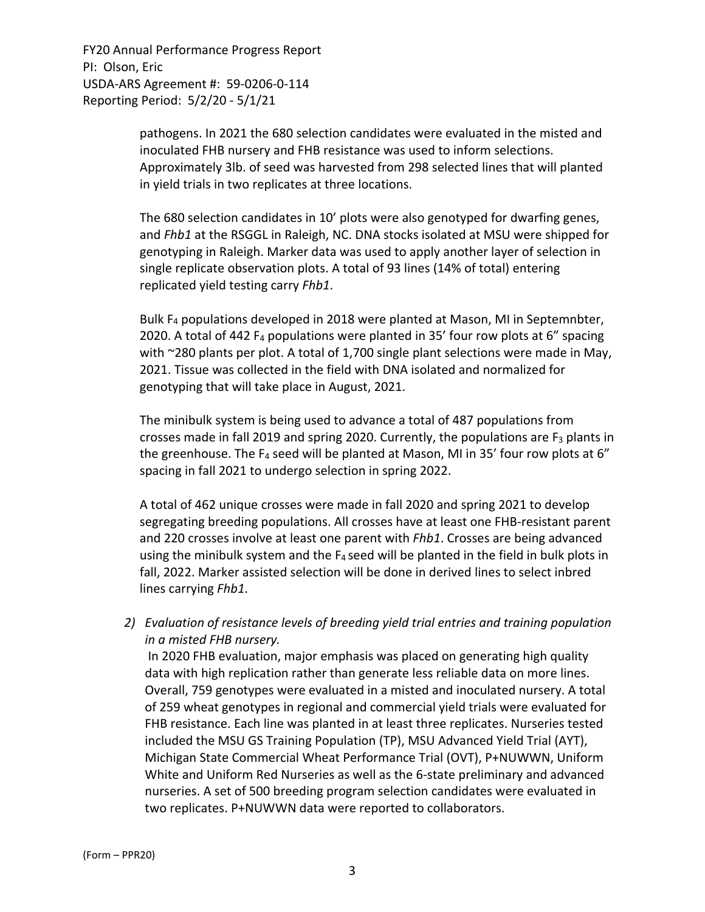> pathogens. In 2021 the 680 selection candidates were evaluated in the misted and inoculated FHB nursery and FHB resistance was used to inform selections. Approximately 3lb. of seed was harvested from 298 selected lines that will planted in yield trials in two replicates at three locations.

The 680 selection candidates in 10' plots were also genotyped for dwarfing genes, and *Fhb1* at the RSGGL in Raleigh, NC. DNA stocks isolated at MSU were shipped for genotyping in Raleigh. Marker data was used to apply another layer of selection in single replicate observation plots. A total of 93 lines (14% of total) entering replicated yield testing carry *Fhb1*.

Bulk F4 populations developed in 2018 were planted at Mason, MI in Septemnbter, 2020. A total of 442  $F_4$  populations were planted in 35' four row plots at 6" spacing with ~280 plants per plot. A total of 1,700 single plant selections were made in May, 2021. Tissue was collected in the field with DNA isolated and normalized for genotyping that will take place in August, 2021.

The minibulk system is being used to advance a total of 487 populations from crosses made in fall 2019 and spring 2020. Currently, the populations are  $F_3$  plants in the greenhouse. The F<sub>4</sub> seed will be planted at Mason, MI in 35' four row plots at 6" spacing in fall 2021 to undergo selection in spring 2022.

A total of 462 unique crosses were made in fall 2020 and spring 2021 to develop segregating breeding populations. All crosses have at least one FHB‐resistant parent and 220 crosses involve at least one parent with *Fhb1*. Crosses are being advanced using the minibulk system and the F<sub>4</sub> seed will be planted in the field in bulk plots in fall, 2022. Marker assisted selection will be done in derived lines to select inbred lines carrying *Fhb1*.

*2) Evaluation of resistance levels of breeding yield trial entries and training population in a misted FHB nursery.*

In 2020 FHB evaluation, major emphasis was placed on generating high quality data with high replication rather than generate less reliable data on more lines. Overall, 759 genotypes were evaluated in a misted and inoculated nursery. A total of 259 wheat genotypes in regional and commercial yield trials were evaluated for FHB resistance. Each line was planted in at least three replicates. Nurseries tested included the MSU GS Training Population (TP), MSU Advanced Yield Trial (AYT), Michigan State Commercial Wheat Performance Trial (OVT), P+NUWWN, Uniform White and Uniform Red Nurseries as well as the 6‐state preliminary and advanced nurseries. A set of 500 breeding program selection candidates were evaluated in two replicates. P+NUWWN data were reported to collaborators.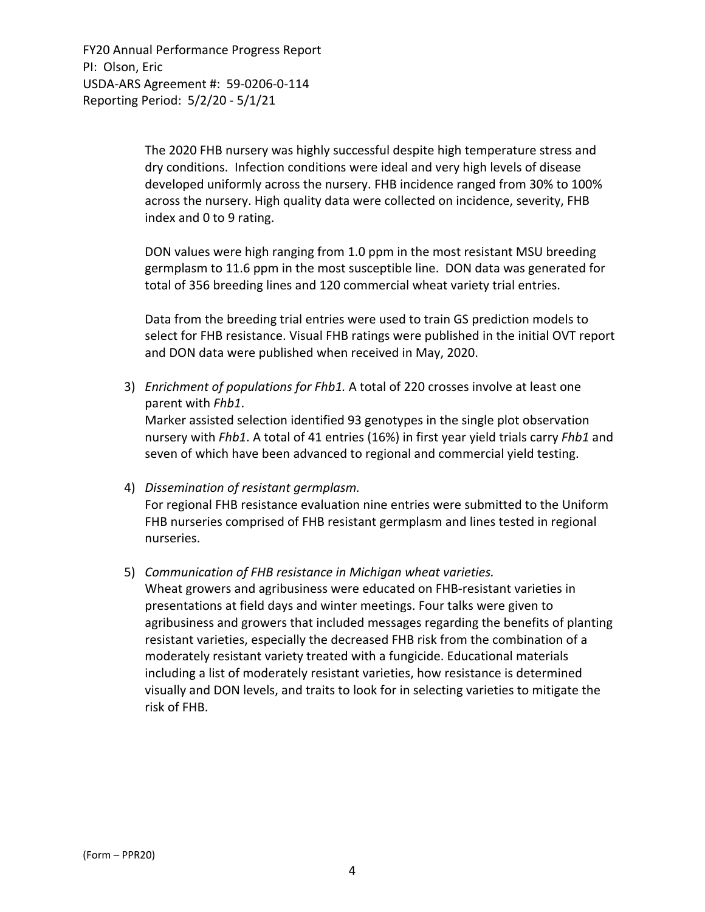> The 2020 FHB nursery was highly successful despite high temperature stress and dry conditions. Infection conditions were ideal and very high levels of disease developed uniformly across the nursery. FHB incidence ranged from 30% to 100% across the nursery. High quality data were collected on incidence, severity, FHB index and 0 to 9 rating.

> DON values were high ranging from 1.0 ppm in the most resistant MSU breeding germplasm to 11.6 ppm in the most susceptible line. DON data was generated for total of 356 breeding lines and 120 commercial wheat variety trial entries.

Data from the breeding trial entries were used to train GS prediction models to select for FHB resistance. Visual FHB ratings were published in the initial OVT report and DON data were published when received in May, 2020.

3) *Enrichment of populations for Fhb1.* A total of 220 crosses involve at least one parent with *Fhb1*.

Marker assisted selection identified 93 genotypes in the single plot observation nursery with *Fhb1*. A total of 41 entries (16%) in first year yield trials carry *Fhb1* and seven of which have been advanced to regional and commercial yield testing.

4) *Dissemination of resistant germplasm.*

For regional FHB resistance evaluation nine entries were submitted to the Uniform FHB nurseries comprised of FHB resistant germplasm and lines tested in regional nurseries.

5) *Communication of FHB resistance in Michigan wheat varieties.*

Wheat growers and agribusiness were educated on FHB‐resistant varieties in presentations at field days and winter meetings. Four talks were given to agribusiness and growers that included messages regarding the benefits of planting resistant varieties, especially the decreased FHB risk from the combination of a moderately resistant variety treated with a fungicide. Educational materials including a list of moderately resistant varieties, how resistance is determined visually and DON levels, and traits to look for in selecting varieties to mitigate the risk of FHB.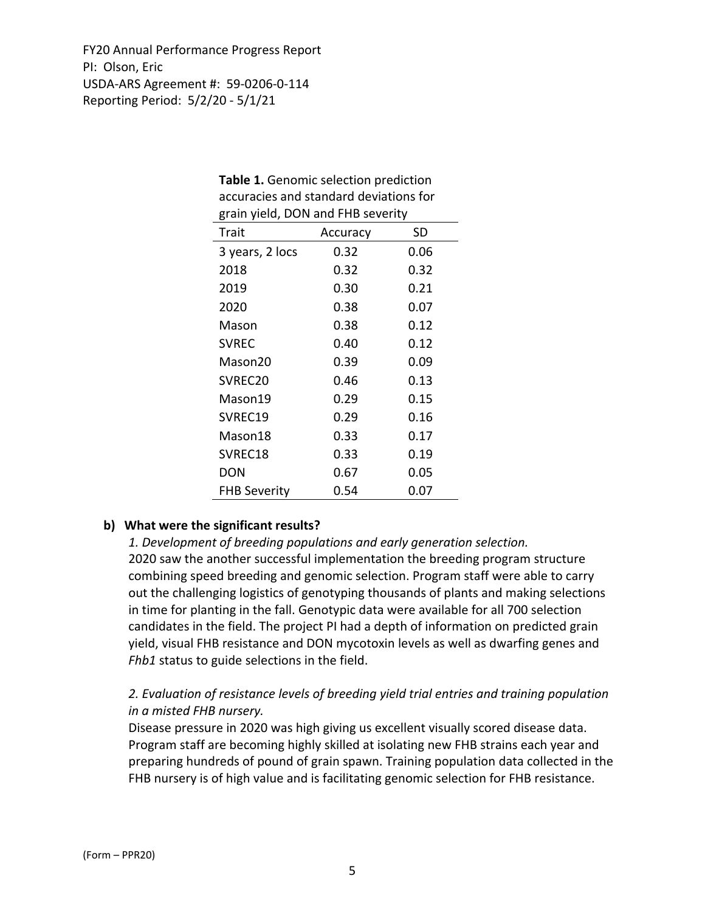| grain yield, DON and FHB severity |          |      |  |  |
|-----------------------------------|----------|------|--|--|
| Trait                             | Accuracy | SD   |  |  |
| 3 years, 2 locs                   | 0.32     | 0.06 |  |  |
| 2018                              | 0.32     | 0.32 |  |  |
| 2019                              | 0.30     | 0.21 |  |  |
| 2020                              | 0.38     | 0.07 |  |  |
| Mason                             | 0.38     | 0.12 |  |  |
| <b>SVREC</b>                      | 0.40     | 0.12 |  |  |
| Mason20                           | 0.39     | 0.09 |  |  |
| SVREC20                           | 0.46     | 0.13 |  |  |
| Mason19                           | 0.29     | 0.15 |  |  |
| SVREC19                           | 0.29     | 0.16 |  |  |
| Mason18                           | 0.33     | 0.17 |  |  |
| SVREC18                           | 0.33     | 0.19 |  |  |
| <b>DON</b>                        | 0.67     | 0.05 |  |  |
| <b>FHB Severity</b>               | 0.54     | 0.07 |  |  |

# **Table 1.** Genomic selection prediction accuracies and standard deviations for

## **b) What were the significant results?**

*1. Development of breeding populations and early generation selection.*  2020 saw the another successful implementation the breeding program structure combining speed breeding and genomic selection. Program staff were able to carry out the challenging logistics of genotyping thousands of plants and making selections in time for planting in the fall. Genotypic data were available for all 700 selection candidates in the field. The project PI had a depth of information on predicted grain yield, visual FHB resistance and DON mycotoxin levels as well as dwarfing genes and *Fhb1* status to guide selections in the field.

# *2. Evaluation of resistance levels of breeding yield trial entries and training population in a misted FHB nursery.*

Disease pressure in 2020 was high giving us excellent visually scored disease data. Program staff are becoming highly skilled at isolating new FHB strains each year and preparing hundreds of pound of grain spawn. Training population data collected in the FHB nursery is of high value and is facilitating genomic selection for FHB resistance.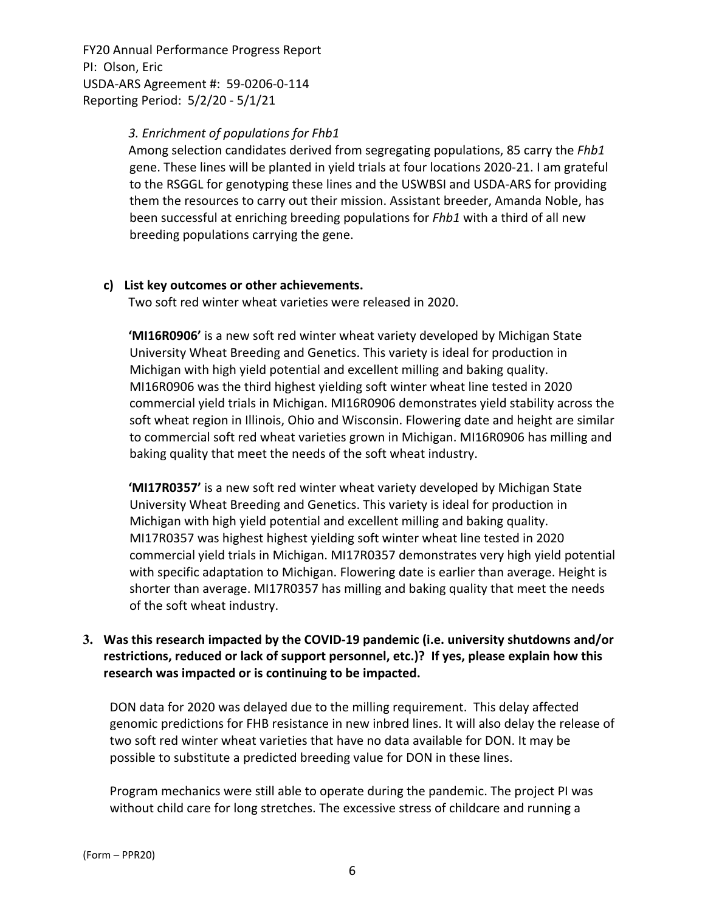#### *3. Enrichment of populations for Fhb1*

Among selection candidates derived from segregating populations, 85 carry the *Fhb1* gene. These lines will be planted in yield trials at four locations 2020‐21. I am grateful to the RSGGL for genotyping these lines and the USWBSI and USDA‐ARS for providing them the resources to carry out their mission. Assistant breeder, Amanda Noble, has been successful at enriching breeding populations for *Fhb1* with a third of all new breeding populations carrying the gene.

#### **c) List key outcomes or other achievements.**

Two soft red winter wheat varieties were released in 2020.

**'MI16R0906'** is a new soft red winter wheat variety developed by Michigan State University Wheat Breeding and Genetics. This variety is ideal for production in Michigan with high yield potential and excellent milling and baking quality. MI16R0906 was the third highest yielding soft winter wheat line tested in 2020 commercial yield trials in Michigan. MI16R0906 demonstrates yield stability across the soft wheat region in Illinois, Ohio and Wisconsin. Flowering date and height are similar to commercial soft red wheat varieties grown in Michigan. MI16R0906 has milling and baking quality that meet the needs of the soft wheat industry.

**'MI17R0357'** is a new soft red winter wheat variety developed by Michigan State University Wheat Breeding and Genetics. This variety is ideal for production in Michigan with high yield potential and excellent milling and baking quality. MI17R0357 was highest highest yielding soft winter wheat line tested in 2020 commercial yield trials in Michigan. MI17R0357 demonstrates very high yield potential with specific adaptation to Michigan. Flowering date is earlier than average. Height is shorter than average. MI17R0357 has milling and baking quality that meet the needs of the soft wheat industry.

# **3. Was this research impacted by the COVID‐19 pandemic (i.e. university shutdowns and/or restrictions, reduced or lack of support personnel, etc.)? If yes, please explain how this research was impacted or is continuing to be impacted.**

DON data for 2020 was delayed due to the milling requirement. This delay affected genomic predictions for FHB resistance in new inbred lines. It will also delay the release of two soft red winter wheat varieties that have no data available for DON. It may be possible to substitute a predicted breeding value for DON in these lines.

Program mechanics were still able to operate during the pandemic. The project PI was without child care for long stretches. The excessive stress of childcare and running a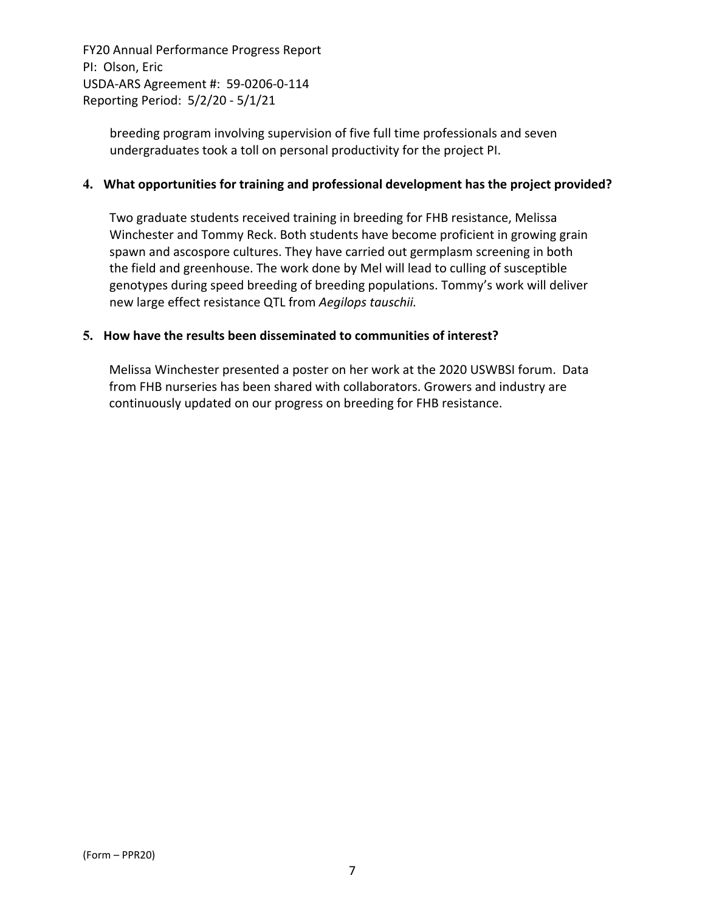> breeding program involving supervision of five full time professionals and seven undergraduates took a toll on personal productivity for the project PI.

#### **4. What opportunities for training and professional development has the project provided?**

Two graduate students received training in breeding for FHB resistance, Melissa Winchester and Tommy Reck. Both students have become proficient in growing grain spawn and ascospore cultures. They have carried out germplasm screening in both the field and greenhouse. The work done by Mel will lead to culling of susceptible genotypes during speed breeding of breeding populations. Tommy's work will deliver new large effect resistance QTL from *Aegilops tauschii.* 

#### **5. How have the results been disseminated to communities of interest?**

Melissa Winchester presented a poster on her work at the 2020 USWBSI forum. Data from FHB nurseries has been shared with collaborators. Growers and industry are continuously updated on our progress on breeding for FHB resistance.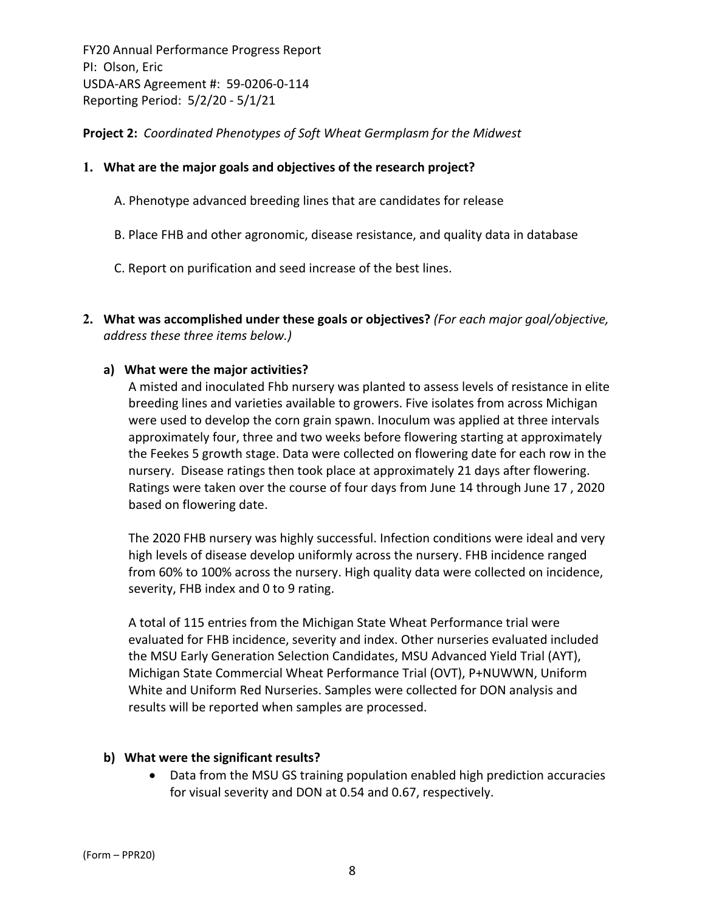**Project 2:** *Coordinated Phenotypes of Soft Wheat Germplasm for the Midwest*

## **1. What are the major goals and objectives of the research project?**

- A. Phenotype advanced breeding lines that are candidates for release
- B. Place FHB and other agronomic, disease resistance, and quality data in database
- C. Report on purification and seed increase of the best lines.
- **2. What was accomplished under these goals or objectives?** *(For each major goal/objective, address these three items below.)*

#### **a) What were the major activities?**

A misted and inoculated Fhb nursery was planted to assess levels of resistance in elite breeding lines and varieties available to growers. Five isolates from across Michigan were used to develop the corn grain spawn. Inoculum was applied at three intervals approximately four, three and two weeks before flowering starting at approximately the Feekes 5 growth stage. Data were collected on flowering date for each row in the nursery. Disease ratings then took place at approximately 21 days after flowering. Ratings were taken over the course of four days from June 14 through June 17 , 2020 based on flowering date.

The 2020 FHB nursery was highly successful. Infection conditions were ideal and very high levels of disease develop uniformly across the nursery. FHB incidence ranged from 60% to 100% across the nursery. High quality data were collected on incidence, severity, FHB index and 0 to 9 rating.

A total of 115 entries from the Michigan State Wheat Performance trial were evaluated for FHB incidence, severity and index. Other nurseries evaluated included the MSU Early Generation Selection Candidates, MSU Advanced Yield Trial (AYT), Michigan State Commercial Wheat Performance Trial (OVT), P+NUWWN, Uniform White and Uniform Red Nurseries. Samples were collected for DON analysis and results will be reported when samples are processed.

#### **b) What were the significant results?**

 Data from the MSU GS training population enabled high prediction accuracies for visual severity and DON at 0.54 and 0.67, respectively.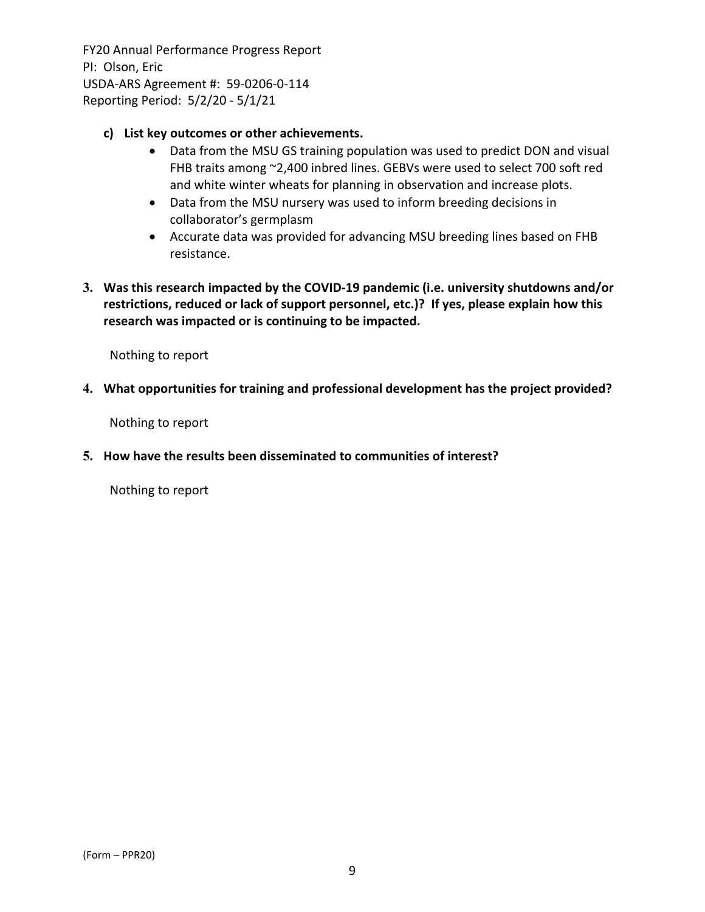## **c) List key outcomes or other achievements.**

- Data from the MSU GS training population was used to predict DON and visual FHB traits among ~2,400 inbred lines. GEBVs were used to select 700 soft red and white winter wheats for planning in observation and increase plots.
- Data from the MSU nursery was used to inform breeding decisions in collaborator's germplasm
- Accurate data was provided for advancing MSU breeding lines based on FHB resistance.
- **3. Was this research impacted by the COVID‐19 pandemic (i.e. university shutdowns and/or restrictions, reduced or lack of support personnel, etc.)? If yes, please explain how this research was impacted or is continuing to be impacted.**

Nothing to report

#### **4. What opportunities for training and professional development has the project provided?**

Nothing to report

## **5. How have the results been disseminated to communities of interest?**

Nothing to report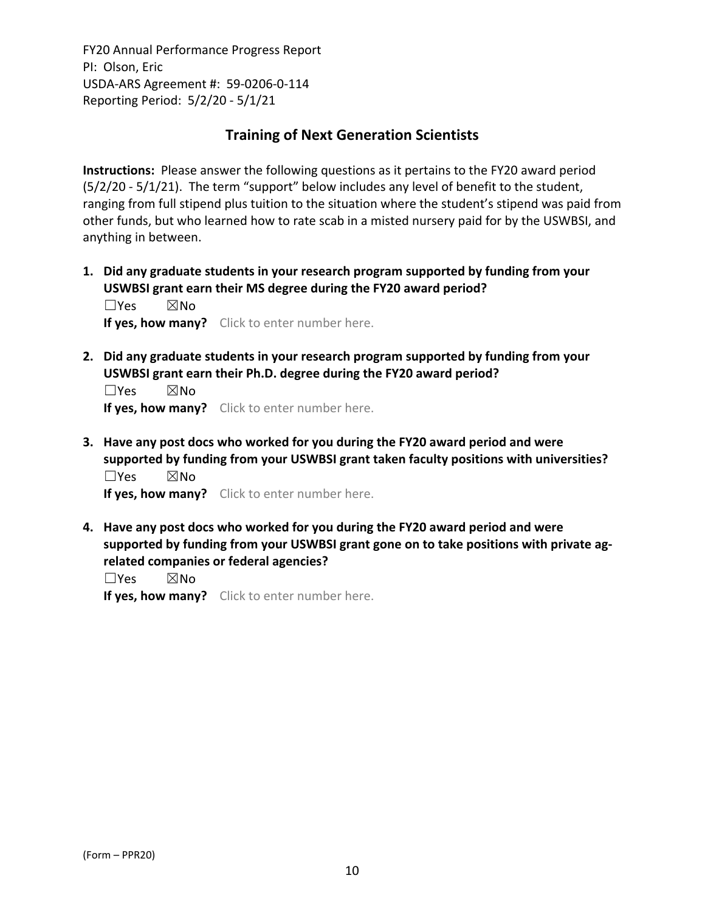# **Training of Next Generation Scientists**

**Instructions:** Please answer the following questions as it pertains to the FY20 award period (5/2/20 ‐ 5/1/21). The term "support" below includes any level of benefit to the student, ranging from full stipend plus tuition to the situation where the student's stipend was paid from other funds, but who learned how to rate scab in a misted nursery paid for by the USWBSI, and anything in between.

**1. Did any graduate students in your research program supported by funding from your USWBSI grant earn their MS degree during the FY20 award period?** ☐Yes ☒No

**If yes, how many?** Click to enter number here.

**2. Did any graduate students in your research program supported by funding from your USWBSI grant earn their Ph.D. degree during the FY20 award period?**

 $\square$ Yes  $\square$ No **If yes, how many?** Click to enter number here.

**3. Have any post docs who worked for you during the FY20 award period and were supported by funding from your USWBSI grant taken faculty positions with universities?** ☐Yes ☒No

**If yes, how many?** Click to enter number here.

**4. Have any post docs who worked for you during the FY20 award period and were supported by funding from your USWBSI grant gone on to take positions with private ag‐ related companies or federal agencies?**

☐Yes ☒No

**If yes, how many?** Click to enter number here.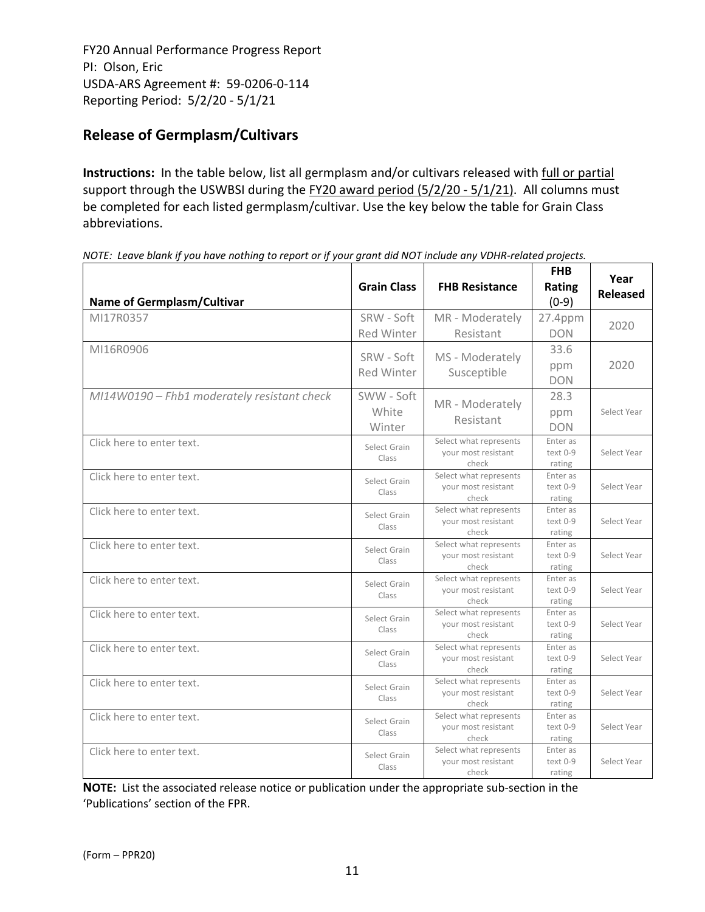# **Release of Germplasm/Cultivars**

**Instructions:** In the table below, list all germplasm and/or cultivars released with full or partial support through the USWBSI during the FY20 award period (5/2/20 - 5/1/21). All columns must be completed for each listed germplasm/cultivar. Use the key below the table for Grain Class abbreviations. 

| <b>Name of Germplasm/Cultivar</b>           | <b>Grain Class</b>            | <b>FHB Resistance</b>                                  | <b>FHB</b><br>Rating<br>$(0-9)$ | Year<br><b>Released</b> |
|---------------------------------------------|-------------------------------|--------------------------------------------------------|---------------------------------|-------------------------|
| MI17R0357                                   | SRW - Soft<br>Red Winter      | MR - Moderately<br>Resistant                           | 27.4ppm<br><b>DON</b>           | 2020                    |
| MI16R0906                                   | SRW - Soft<br>Red Winter      | MS - Moderately<br>Susceptible                         | 33.6<br>ppm<br><b>DON</b>       | 2020                    |
| MI14W0190 - Fhb1 moderately resistant check | SWW - Soft<br>White<br>Winter | MR - Moderately<br>Resistant                           | 28.3<br>ppm<br><b>DON</b>       | Select Year             |
| Click here to enter text.                   | Select Grain<br>Class         | Select what represents<br>your most resistant<br>check | Enter as<br>text 0-9<br>rating  | Select Year             |
| Click here to enter text.                   | Select Grain<br>Class         | Select what represents<br>your most resistant<br>check | Enter as<br>text 0-9<br>rating  | Select Year             |
| Click here to enter text.                   | Select Grain<br>Class         | Select what represents<br>your most resistant<br>check | Enter as<br>text 0-9<br>rating  | Select Year             |
| Click here to enter text.                   | Select Grain<br>Class         | Select what represents<br>your most resistant<br>check | Enter as<br>text 0-9<br>rating  | Select Year             |
| Click here to enter text.                   | Select Grain<br>Class         | Select what represents<br>your most resistant<br>check | Enter as<br>text 0-9<br>rating  | Select Year             |
| Click here to enter text.                   | Select Grain<br>Class         | Select what represents<br>your most resistant<br>check | Enter as<br>text 0-9<br>rating  | Select Year             |
| Click here to enter text.                   | Select Grain<br>Class         | Select what represents<br>your most resistant<br>check | Enter as<br>text 0-9<br>rating  | Select Year             |
| Click here to enter text.                   | Select Grain<br>Class         | Select what represents<br>your most resistant<br>check | Enter as<br>text 0-9<br>rating  | Select Year             |
| Click here to enter text.                   | Select Grain<br>Class         | Select what represents<br>your most resistant<br>check | Enter as<br>text 0-9<br>rating  | Select Year             |
| Click here to enter text.                   | Select Grain<br>Class         | Select what represents<br>your most resistant<br>check | Enter as<br>text 0-9<br>rating  | Select Year             |

NOTE: Leave blank if you have nothing to report or if your grant did NOT include any VDHR-related projects.

**NOTE:** List the associated release notice or publication under the appropriate sub-section in the 'Publications' section of the FPR.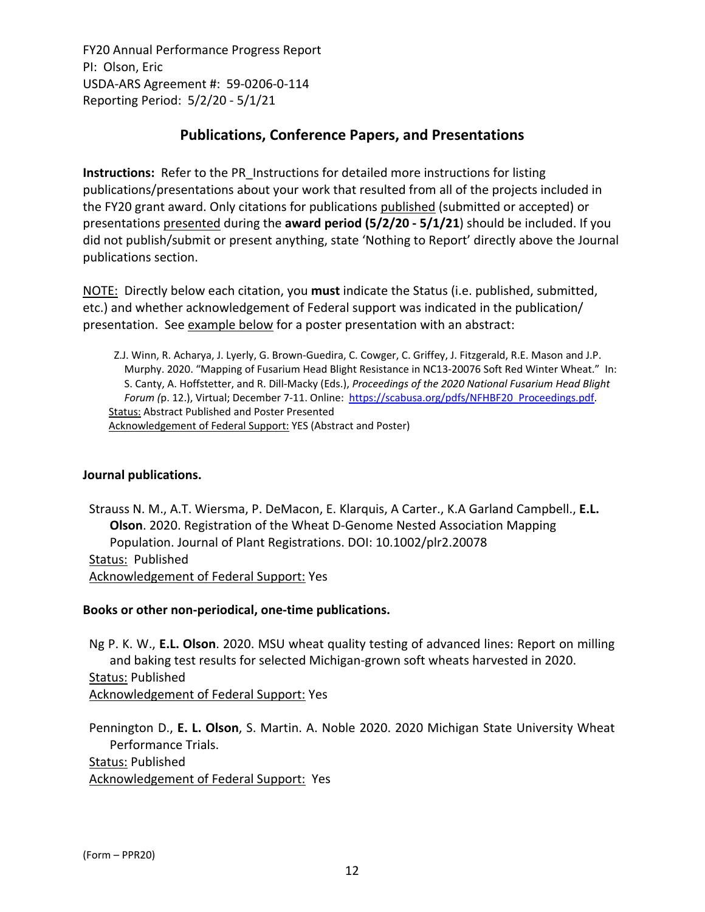# **Publications, Conference Papers, and Presentations**

**Instructions:** Refer to the PR\_Instructions for detailed more instructions for listing publications/presentations about your work that resulted from all of the projects included in the FY20 grant award. Only citations for publications published (submitted or accepted) or presentations presented during the **award period (5/2/20 ‐ 5/1/21**) should be included. If you did not publish/submit or present anything, state 'Nothing to Report' directly above the Journal publications section.

NOTE: Directly below each citation, you **must** indicate the Status (i.e. published, submitted, etc.) and whether acknowledgement of Federal support was indicated in the publication/ presentation. See example below for a poster presentation with an abstract:

Z.J. Winn, R. Acharya, J. Lyerly, G. Brown‐Guedira, C. Cowger, C. Griffey, J. Fitzgerald, R.E. Mason and J.P. Murphy. 2020. "Mapping of Fusarium Head Blight Resistance in NC13‐20076 Soft Red Winter Wheat." In: S. Canty, A. Hoffstetter, and R. Dill‐Macky (Eds.), *Proceedings of the 2020 National Fusarium Head Blight Forum (*p. 12.), Virtual; December 7‐11. Online: https://scabusa.org/pdfs/NFHBF20\_Proceedings.pdf. Status: Abstract Published and Poster Presented Acknowledgement of Federal Support: YES (Abstract and Poster)

#### **Journal publications.**

Strauss N. M., A.T. Wiersma, P. DeMacon, E. Klarquis, A Carter., K.A Garland Campbell., **E.L. Olson**. 2020. Registration of the Wheat D‐Genome Nested Association Mapping Population. Journal of Plant Registrations. DOI: 10.1002/plr2.20078 Status: Published Acknowledgement of Federal Support: Yes

#### **Books or other non‐periodical, one‐time publications.**

Ng P. K. W., **E.L. Olson**. 2020. MSU wheat quality testing of advanced lines: Report on milling and baking test results for selected Michigan‐grown soft wheats harvested in 2020. Status: Published Acknowledgement of Federal Support: Yes

Pennington D., **E. L. Olson**, S. Martin. A. Noble 2020. 2020 Michigan State University Wheat Performance Trials.

Status: Published

Acknowledgement of Federal Support: Yes